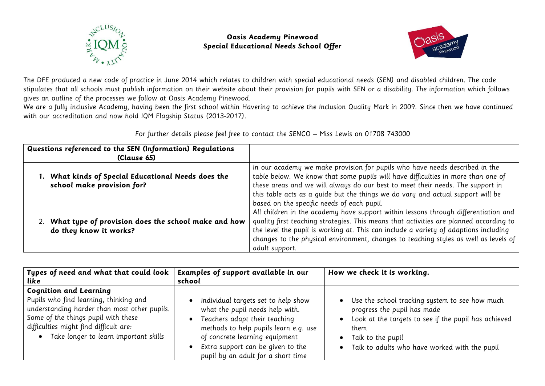

## **Oasis Academy Pinewood Special Educational Needs School Offer**



The DFE produced a new code of practice in June 2014 which relates to children with special educational needs (SEN) and disabled children. The code stipulates that all schools must publish information on their website about their provision for pupils with SEN or a disability. The information which follows gives an outline of the processes we follow at Oasis Academy Pinewood.

We are a fully inclusive Academy, having been the first school within Havering to achieve the Inclusion Quality Mark in 2009. Since then we have continued with our accreditation and now hold IQM Flagship Status (2013-2017).

| Questions referenced to the SEN (Information) Regulations<br>(Clause 65)          |                                                                                                                                                                                                                                                                                                                                                                                    |
|-----------------------------------------------------------------------------------|------------------------------------------------------------------------------------------------------------------------------------------------------------------------------------------------------------------------------------------------------------------------------------------------------------------------------------------------------------------------------------|
| 1. What kinds of Special Educational Needs does the<br>school make provision for? | In our academy we make provision for pupils who have needs described in the<br>table below. We know that some pupils will have difficulties in more than one of<br>these areas and we will always do our best to meet their needs. The support in<br>this table acts as a quide but the things we do vary and actual support will be<br>based on the specific needs of each pupil. |
| 2. What type of provision does the school make and how<br>do they know it works?  | All children in the academy have support within lessons through differentiation and<br>quality first teaching strategies. This means that activities are planned according to<br>the level the pupil is working at. This can include a variety of adaptions including<br>changes to the physical environment, changes to teaching styles as well as levels of<br>adult support.    |

For further details please feel free to contact the SENCO – Miss Lewis on 01708 743000

| Types of need and what that could look                                                                                                                                                                                                            | Examples of support available in our                                                                                                                                                                                                                          | How we check it is working.                                                                                                                                                                                         |
|---------------------------------------------------------------------------------------------------------------------------------------------------------------------------------------------------------------------------------------------------|---------------------------------------------------------------------------------------------------------------------------------------------------------------------------------------------------------------------------------------------------------------|---------------------------------------------------------------------------------------------------------------------------------------------------------------------------------------------------------------------|
| like                                                                                                                                                                                                                                              | school                                                                                                                                                                                                                                                        |                                                                                                                                                                                                                     |
| <b>Cognition and Learning</b><br>Pupils who find learning, thinking and<br>understanding harder than most other pupils.<br>Some of the things pupil with these<br>difficulties might find difficult are:<br>Take longer to learn important skills | Individual targets set to help show<br>what the pupil needs help with.<br>Teachers adapt their teaching<br>methods to help pupils learn e.g. use<br>of concrete learning equipment<br>Extra support can be given to the<br>pupil by an adult for a short time | Use the school tracking system to see how much<br>progress the pupil has made<br>Look at the targets to see if the pupil has achieved<br>them<br>Talk to the pupil<br>Talk to adults who have worked with the pupil |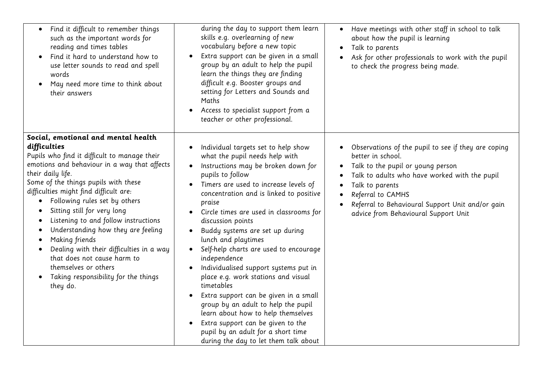| Find it difficult to remember things<br>such as the important words for<br>reading and times tables<br>Find it hard to understand how to<br>use letter sounds to read and spell<br>words<br>May need more time to think about<br>their answers                                                                                                                                                                                                                                                                                                                                                                                                     | during the day to support them learn<br>skills e.g. overlearning of new<br>vocabulary before a new topic<br>Extra support can be given in a small<br>group by an adult to help the pupil<br>learn the things they are finding<br>difficult e.g. Booster groups and<br>setting for Letters and Sounds and<br>Maths<br>Access to specialist support from a<br>teacher or other professional.                                                                                                                                                                                                                                                                                                                                                                 | Have meetings with other staff in school to talk<br>about how the pupil is learning<br>Talk to parents<br>Ask for other professionals to work with the pupil<br>to check the progress being made.                                                                                                  |
|----------------------------------------------------------------------------------------------------------------------------------------------------------------------------------------------------------------------------------------------------------------------------------------------------------------------------------------------------------------------------------------------------------------------------------------------------------------------------------------------------------------------------------------------------------------------------------------------------------------------------------------------------|------------------------------------------------------------------------------------------------------------------------------------------------------------------------------------------------------------------------------------------------------------------------------------------------------------------------------------------------------------------------------------------------------------------------------------------------------------------------------------------------------------------------------------------------------------------------------------------------------------------------------------------------------------------------------------------------------------------------------------------------------------|----------------------------------------------------------------------------------------------------------------------------------------------------------------------------------------------------------------------------------------------------------------------------------------------------|
| Social, emotional and mental health<br>difficulties<br>Pupils who find it difficult to manage their<br>emotions and behaviour in a way that affects<br>their daily life.<br>Some of the things pupils with these<br>difficulties might find difficult are:<br>Following rules set by others<br>Sitting still for very long<br>Listening to and follow instructions<br>$\bullet$<br>Understanding how they are feeling<br>$\bullet$<br>Making friends<br>$\bullet$<br>Dealing with their difficulties in a way<br>$\bullet$<br>that does not cause harm to<br>themselves or others<br>Taking responsibility for the things<br>$\bullet$<br>they do. | Individual targets set to help show<br>what the pupil needs help with<br>Instructions may be broken down for<br>pupils to follow<br>Timers are used to increase levels of<br>concentration and is linked to positive<br>praise<br>Circle times are used in classrooms for<br>discussion points<br>Buddy systems are set up during<br>lunch and playtimes<br>Self-help charts are used to encourage<br>independence<br>Individualised support systems put in<br>place e.g. work stations and visual<br>timetables<br>Extra support can be given in a small<br>group by an adult to help the pupil<br>learn about how to help themselves<br>Extra support can be given to the<br>pupil by an adult for a short time<br>during the day to let them talk about | Observations of the pupil to see if they are coping<br>better in school.<br>Talk to the pupil or young person<br>Talk to adults who have worked with the pupil<br>Talk to parents<br>Referral to CAMHS<br>Referral to Behavioural Support Unit and/or gain<br>advice from Behavioural Support Unit |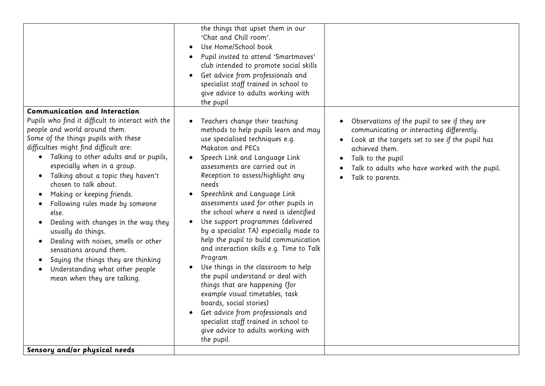| Communication and Interaction                                                                                                                                                                                                                                                                                                                                                                                                                                                                                                                                                                                                                                                                                         | the things that upset them in our<br>'Chat and Chill room'.<br>Use Home/School book<br>Pupil invited to attend 'Smartmoves'<br>club intended to promote social skills<br>Get advice from professionals and<br>specialist staff trained in school to<br>give advice to adults working with<br>the pupil                                                                                                                                                                                                                                                                                                                                                                                                                                                                                                                                                       |                                                                                                                                                                                                                                                           |
|-----------------------------------------------------------------------------------------------------------------------------------------------------------------------------------------------------------------------------------------------------------------------------------------------------------------------------------------------------------------------------------------------------------------------------------------------------------------------------------------------------------------------------------------------------------------------------------------------------------------------------------------------------------------------------------------------------------------------|--------------------------------------------------------------------------------------------------------------------------------------------------------------------------------------------------------------------------------------------------------------------------------------------------------------------------------------------------------------------------------------------------------------------------------------------------------------------------------------------------------------------------------------------------------------------------------------------------------------------------------------------------------------------------------------------------------------------------------------------------------------------------------------------------------------------------------------------------------------|-----------------------------------------------------------------------------------------------------------------------------------------------------------------------------------------------------------------------------------------------------------|
| Pupils who find it difficult to interact with the<br>people and world around them.<br>Some of the things pupils with these<br>difficulties might find difficult are:<br>Talking to other adults and or pupils,<br>$\bullet$<br>especially when in a group.<br>Talking about a topic they haven't<br>$\bullet$<br>chosen to talk about.<br>Making or keeping friends.<br>Following rules made by someone<br>else.<br>Dealing with changes in the way they<br>usually do things.<br>Dealing with noises, smells or other<br>$\bullet$<br>sensations around them.<br>Saying the things they are thinking<br>$\bullet$<br>Understanding what other people<br>mean when they are talking.<br>Sensory and/or physical needs | Teachers change their teaching<br>methods to help pupils learn and may<br>use specialised techniques e.g.<br>Makaton and PECs<br>Speech Link and Language Link<br>assessments are carried out in<br>Reception to assess/highlight any<br>needs<br>Speechlink and Language Link<br>assessments used for other pupils in<br>the school where a need is identified<br>Use support programmes (delivered<br>by a specialist TA) especially made to<br>help the pupil to build communication<br>and interaction skills e.g. Time to Talk<br>Program<br>Use things in the classroom to help<br>the pupil understand or deal with<br>things that are happening (for<br>example visual timetables, task<br>boards, social stories)<br>Get advice from professionals and<br>specialist staff trained in school to<br>give advice to adults working with<br>the pupil. | Observations of the pupil to see if they are<br>communicating or interacting differently.<br>Look at the targets set to see if the pupil has<br>achieved them.<br>Talk to the pupil<br>Talk to adults who have worked with the pupil.<br>Talk to parents. |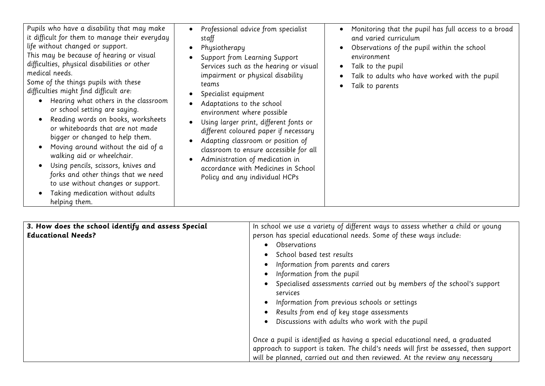| Pupils who have a disability that may make<br>it difficult for them to manage their everyday<br>life without changed or support.<br>This may be because of hearing or visual<br>difficulties, physical disabilities or other<br>medical needs.<br>Some of the things pupils with these<br>difficulties might find difficult are:<br>Hearing what others in the classroom<br>or school setting are saying.<br>Reading words on books, worksheets<br>or whiteboards that are not made<br>bigger or changed to help them.<br>Moving around without the aid of a<br>walking aid or wheelchair.<br>Using pencils, scissors, knives and<br>forks and other things that we need<br>to use without changes or support.<br>Taking medication without adults<br>helping them. | Professional advice from specialist<br>staff<br>Physiotherapy<br>Support from Learning Support<br>Services such as the hearing or visual<br>impairment or physical disability<br>teams<br>Specialist equipment<br>Adaptations to the school<br>environment where possible<br>Using larger print, different fonts or<br>different coloured paper if necessary<br>Adapting classroom or position of<br>classroom to ensure accessible for all<br>Administration of medication in<br>accordance with Medicines in School<br>Policy and any individual HCPs | Monitoring that the pupil has full access to a broad<br>and varied curriculum<br>Observations of the pupil within the school<br>$\bullet$<br>environment<br>Talk to the pupil<br>$\bullet$<br>Talk to adults who have worked with the pupil<br>$\bullet$<br>Talk to parents<br>$\bullet$ |
|---------------------------------------------------------------------------------------------------------------------------------------------------------------------------------------------------------------------------------------------------------------------------------------------------------------------------------------------------------------------------------------------------------------------------------------------------------------------------------------------------------------------------------------------------------------------------------------------------------------------------------------------------------------------------------------------------------------------------------------------------------------------|---------------------------------------------------------------------------------------------------------------------------------------------------------------------------------------------------------------------------------------------------------------------------------------------------------------------------------------------------------------------------------------------------------------------------------------------------------------------------------------------------------------------------------------------------------|------------------------------------------------------------------------------------------------------------------------------------------------------------------------------------------------------------------------------------------------------------------------------------------|
|---------------------------------------------------------------------------------------------------------------------------------------------------------------------------------------------------------------------------------------------------------------------------------------------------------------------------------------------------------------------------------------------------------------------------------------------------------------------------------------------------------------------------------------------------------------------------------------------------------------------------------------------------------------------------------------------------------------------------------------------------------------------|---------------------------------------------------------------------------------------------------------------------------------------------------------------------------------------------------------------------------------------------------------------------------------------------------------------------------------------------------------------------------------------------------------------------------------------------------------------------------------------------------------------------------------------------------------|------------------------------------------------------------------------------------------------------------------------------------------------------------------------------------------------------------------------------------------------------------------------------------------|

| 3. How does the school identify and assess Special | In school we use a variety of different ways to assess whether a child or young      |
|----------------------------------------------------|--------------------------------------------------------------------------------------|
| <b>Educational Needs?</b>                          | person has special educational needs. Some of these ways include:                    |
|                                                    | <b>Observations</b>                                                                  |
|                                                    | School based test results                                                            |
|                                                    | • Information from parents and carers                                                |
|                                                    | • Information from the pupil                                                         |
|                                                    | Specialised assessments carried out by members of the school's support               |
|                                                    | services                                                                             |
|                                                    | • Information from previous schools or settings                                      |
|                                                    | • Results from end of key stage assessments                                          |
|                                                    | Discussions with adults who work with the pupil                                      |
|                                                    | Once a pupil is identified as having a special educational need, a graduated         |
|                                                    | approach to support is taken. The child's needs will first be assessed, then support |
|                                                    | will be planned, carried out and then reviewed. At the review any necessary          |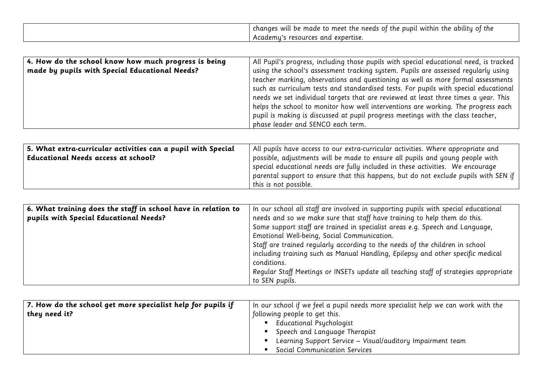| <br>$\cdot$<br>changes will<br>the<br>oupi.<br>abilitu<br>needs<br>∵the<br>the<br>to meet<br>within<br>be<br>the<br>maae<br>الن |
|---------------------------------------------------------------------------------------------------------------------------------|
| and<br>cademu<br>expertise.<br>--<br>resources                                                                                  |

| $\mid$ 4. How do the school know how much progress is being | All Pupil's progress, including those pupils with special educational need, is tracked |
|-------------------------------------------------------------|----------------------------------------------------------------------------------------|
| made by pupils with Special Educational Needs?              | using the school's assessment tracking system. Pupils are assessed regularly using     |
|                                                             | teacher marking, observations and questioning as well as more formal assessments       |
|                                                             | such as curriculum tests and standardised tests. For pupils with special educational   |
|                                                             | needs we set individual targets that are reviewed at least three times a year. This    |
|                                                             | helps the school to monitor how well interventions are working. The progress each      |
|                                                             | pupil is making is discussed at pupil progress meetings with the class teacher,        |
|                                                             | phase leader and SENCO each term.                                                      |

| 5. What extra-curricular activities can a pupil with Special | All pupils have access to our extra-curricular activities. Where appropriate and    |
|--------------------------------------------------------------|-------------------------------------------------------------------------------------|
| Educational Needs access at school?                          | possible, adjustments will be made to ensure all pupils and young people with       |
|                                                              | special educational needs are fully included in these activities. We encourage      |
|                                                              | parental support to ensure that this happens, but do not exclude pupils with SEN if |
|                                                              | $\mid$ this is not possible.                                                        |

| 6. What training does the staff in school have in relation to<br>pupils with Special Educational Needs? | In our school all staff are involved in supporting pupils with special educational<br>needs and so we make sure that staff have training to help them do this.<br>Some support staff are trained in specialist areas e.g. Speech and Language,<br>Emotional Well-being, Social Communication. |
|---------------------------------------------------------------------------------------------------------|-----------------------------------------------------------------------------------------------------------------------------------------------------------------------------------------------------------------------------------------------------------------------------------------------|
|                                                                                                         | Staff are trained regularly according to the needs of the children in school<br>including training such as Manual Handling, Epilepsy and other specific medical<br>conditions.<br>Regular Staff Meetings or INSETs update all teaching staff of strategies appropriate<br>to SEN pupils.      |

| $\mid$ 7. How do the school get more specialist help for pupils if | $^\mathsf{t}$ In our school if we feel a pupil needs more specialist help we can work with the |  |
|--------------------------------------------------------------------|------------------------------------------------------------------------------------------------|--|
| they need it?                                                      | following people to get this.                                                                  |  |
|                                                                    | Educational Psychologist                                                                       |  |
|                                                                    | Speech and Language Therapist                                                                  |  |
|                                                                    | Learning Support Service - Visual/auditory Impairment team                                     |  |
|                                                                    | Social Communication Services                                                                  |  |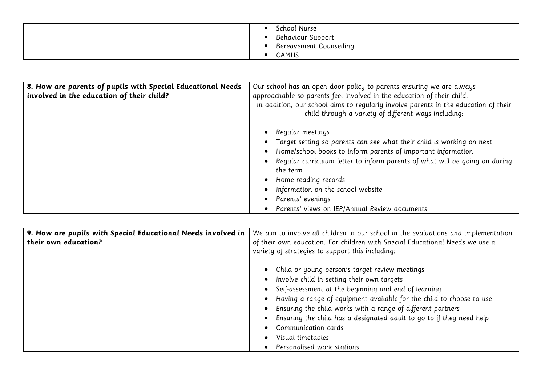| School Nurse            |
|-------------------------|
| Behaviour Support       |
| Bereavement Counselling |
| CAMHS                   |

| 8. How are parents of pupils with Special Educational Needs<br>involved in the education of their child? | Our school has an open door policy to parents ensuring we are always<br>approachable so parents feel involved in the education of their child.<br>In addition, our school aims to regularly involve parents in the education of their<br>child through a variety of different ways including:                                                                                           |
|----------------------------------------------------------------------------------------------------------|-----------------------------------------------------------------------------------------------------------------------------------------------------------------------------------------------------------------------------------------------------------------------------------------------------------------------------------------------------------------------------------------|
|                                                                                                          | Regular meetings<br>Target setting so parents can see what their child is working on next<br>Home/school books to inform parents of important information<br>Regular curriculum letter to inform parents of what will be going on during<br>the term<br>Home reading records<br>Information on the school website<br>Parents' evenings<br>Parents' views on IEP/Annual Review documents |

| 9. How are pupils with Special Educational Needs involved in | We aim to involve all children in our school in the evaluations and implementation |
|--------------------------------------------------------------|------------------------------------------------------------------------------------|
| their own education?                                         | of their own education. For children with Special Educational Needs we use a       |
|                                                              | variety of strategies to support this including:                                   |
|                                                              | • Child or young person's target review meetings                                   |
|                                                              | Involve child in setting their own targets<br>$\bullet$                            |
|                                                              | • Self-assessment at the beginning and end of learning                             |
|                                                              | Having a range of equipment available for the child to choose to use               |
|                                                              | Ensuring the child works with a range of different partners<br>$\bullet$           |
|                                                              | Ensuring the child has a designated adult to go to if they need help<br>$\bullet$  |
|                                                              | Communication cards                                                                |
|                                                              | Visual timetables<br>$\bullet$                                                     |
|                                                              | Personalised work stations                                                         |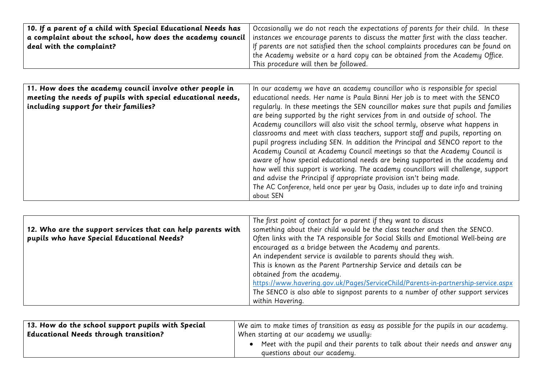| 10. If a parent of a child with Special Educational Needs has  | Occasionally we do not reach the expectations of parents for their child. In these |
|----------------------------------------------------------------|------------------------------------------------------------------------------------|
| a complaint about the school, how does the academy council $ $ | instances we encourage parents to discuss the matter first with the class teacher. |
| deal with the complaint?                                       | If parents are not satisfied then the school complaints procedures can be found on |
|                                                                | the Academy website or a hard copy can be obtained from the Academy Office.        |
|                                                                | This procedure will then be followed.                                              |

| 11. How does the academy council involve other people in    | In our academy we have an academy councillor who is responsible for special           |
|-------------------------------------------------------------|---------------------------------------------------------------------------------------|
| meeting the needs of pupils with special educational needs, | educational needs. Her name is Paula Binni Her job is to meet with the SENCO          |
| including support for their families?                       | regularly. In these meetings the SEN councillor makes sure that pupils and families   |
|                                                             | are being supported by the right services from in and outside of school. The          |
|                                                             | Academy councillors will also visit the school termly, observe what happens in        |
|                                                             | classrooms and meet with class teachers, support staff and pupils, reporting on       |
|                                                             | pupil progress including SEN. In addition the Principal and SENCO report to the       |
|                                                             | Academy Council at Academy Council meetings so that the Academy Council is            |
|                                                             | aware of how special educational needs are being supported in the academy and         |
|                                                             | how well this support is working. The academy councillors will challenge, support     |
|                                                             | and advise the Principal if appropriate provision isn't being made.                   |
|                                                             | The AC Conference, held once per year by Oasis, includes up to date info and training |
|                                                             | about SEN                                                                             |

|                                                             | The first point of contact for a parent if they want to discuss                    |
|-------------------------------------------------------------|------------------------------------------------------------------------------------|
| 12. Who are the support services that can help parents with | something about their child would be the class teacher and then the SENCO.         |
| pupils who have Special Educational Needs?                  | Often links with the TA responsible for Social Skills and Emotional Well-being are |
|                                                             | encouraged as a bridge between the Academy and parents.                            |
|                                                             | An independent service is available to parents should they wish.                   |
|                                                             | This is known as the Parent Partnership Service and details can be                 |
|                                                             | obtained from the academy.                                                         |
|                                                             | https://www.havering.gov.uk/Pages/ServiceChild/Parents-in-partnership-service.aspx |
|                                                             | The SENCO is also able to signpost parents to a number of other support services   |
|                                                             | within Havering.                                                                   |

| 13. How do the school support pupils with Special | $^\text{!}$ We aim to make times of transition as easy as possible for the pupils in our academy.              |
|---------------------------------------------------|----------------------------------------------------------------------------------------------------------------|
| <b>Educational Needs through transition?</b>      | When starting at our academy we usually:                                                                       |
|                                                   | Meet with the pupil and their parents to talk about their needs and answer any<br>questions about our academy. |